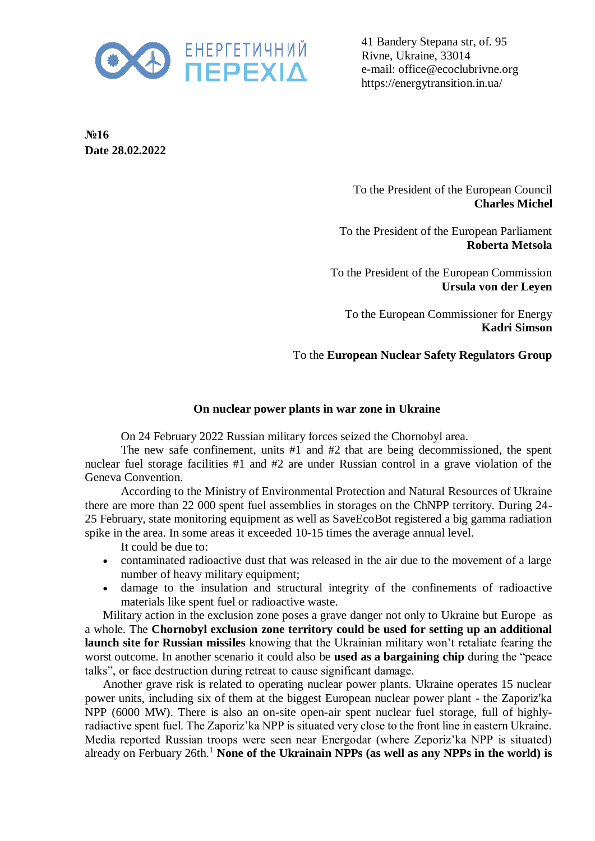

41 Bandery Stepana str, of. 95 Rivne, Ukraine, 33014 e-mail: office@ecoclubrivne.org https://energytransition.in.ua/

**№16 Date 28.02.2022**

> To the President of the European Council **Charles Michel**

To the President of the European Parliament **Roberta Metsola**

To the President of the European Commission **Ursula von der Leyen**

To the European Commissioner for Energy **Kadri Simson**

## To the **European Nuclear Safety Regulators Group**

## **On nuclear power plants in war zone in Ukraine**

On 24 February 2022 Russian military forces seized the Chornobyl area.

The new safe confinement, units #1 and #2 that are being decommissioned, the spent nuclear fuel storage facilities #1 and #2 are under Russian control in a grave violation of the Geneva Convention.

According to the Ministry of Environmental Protection and Natural Resources of Ukraine there are more than 22 000 spent fuel assemblies in storages on the ChNPP territory. During 24- 25 February, state monitoring equipment as well as SaveEcoBot registered a big gamma radiation spike in the area. In some areas it exceeded 10-15 times the average annual level.

It could be due to:

- contaminated radioactive dust that was released in the air due to the movement of a large number of heavy military equipment;
- damage to the insulation and structural integrity of the confinements of radioactive materials like spent fuel or radioactive waste.

Military action in the exclusion zone poses a grave danger not only to Ukraine but Europe as a whole. The **Chornobyl exclusion zone territory could be used for setting up an additional launch site for Russian missiles** knowing that the Ukrainian military won't retaliate fearing the worst outcome. In another scenario it could also be **used as a bargaining chip** during the "peace talks", or face destruction during retreat to cause significant damage.

Another grave risk is related to operating nuclear power plants. Ukraine operates 15 nuclear power units, including six of them at the biggest European nuclear power plant - the Zaporiz'ka NPP (6000 MW). There is also an on-site open-air spent nuclear fuel storage, full of highlyradiactive spent fuel. The Zaporiz'ka NPP is situated very close to the front line in eastern Ukraine. Media reported Russian troops were seen near Energodar (where Zeporiz'ka NPP is situated) already on Ferbuary 26th.<sup>1</sup> None of the Ukrainain NPPs (as well as any NPPs in the world) is